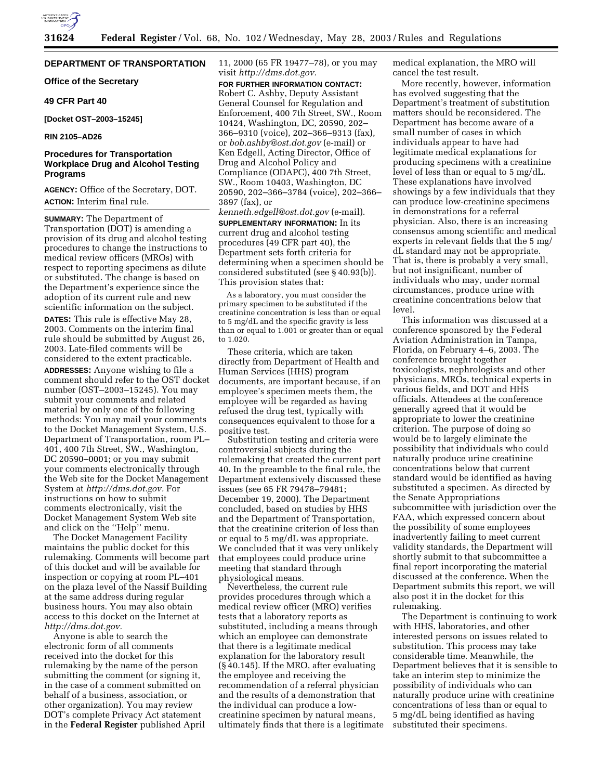

## **DEPARTMENT OF TRANSPORTATION**

**Office of the Secretary** 

### **49 CFR Part 40**

**[Docket OST–2003–15245]** 

### **RIN 2105–AD26**

## **Procedures for Transportation Workplace Drug and Alcohol Testing Programs**

**AGENCY:** Office of the Secretary, DOT. **ACTION:** Interim final rule.

**SUMMARY:** The Department of Transportation (DOT) is amending a provision of its drug and alcohol testing procedures to change the instructions to medical review officers (MROs) with respect to reporting specimens as dilute or substituted. The change is based on the Department's experience since the adoption of its current rule and new scientific information on the subject.

**DATES:** This rule is effective May 28, 2003. Comments on the interim final rule should be submitted by August 26, 2003. Late-filed comments will be considered to the extent practicable.

**ADDRESSES:** Anyone wishing to file a comment should refer to the OST docket number (OST–2003–15245). You may submit your comments and related material by only one of the following methods: You may mail your comments to the Docket Management System, U.S. Department of Transportation, room PL– 401, 400 7th Street, SW., Washington, DC 20590–0001; or you may submit your comments electronically through the Web site for the Docket Management System at *http://dms.dot.gov.* For instructions on how to submit comments electronically, visit the Docket Management System Web site and click on the ''Help'' menu.

The Docket Management Facility maintains the public docket for this rulemaking. Comments will become part of this docket and will be available for inspection or copying at room PL–401 on the plaza level of the Nassif Building at the same address during regular business hours. You may also obtain access to this docket on the Internet at *http://dms.dot.gov.*

Anyone is able to search the electronic form of all comments received into the docket for this rulemaking by the name of the person submitting the comment (or signing it, in the case of a comment submitted on behalf of a business, association, or other organization). You may review DOT's complete Privacy Act statement in the **Federal Register** published April 11, 2000 (65 FR 19477–78), or you may visit *http://dms.dot.gov.*

**FOR FURTHER INFORMATION CONTACT:** Robert C. Ashby, Deputy Assistant General Counsel for Regulation and Enforcement, 400 7th Street, SW., Room 10424, Washington, DC, 20590, 202– 366–9310 (voice), 202–366–9313 (fax), or *bob.ashby@ost.dot.gov* (e-mail) or Ken Edgell, Acting Director, Office of Drug and Alcohol Policy and Compliance (ODAPC), 400 7th Street, SW., Room 10403, Washington, DC 20590, 202–366–3784 (voice), 202–366– 3897 (fax), or

*kenneth.edgell@ost.dot.gov* (e-mail). **SUPPLEMENTARY INFORMATION:** In its current drug and alcohol testing procedures (49 CFR part 40), the Department sets forth criteria for determining when a specimen should be considered substituted (see § 40.93(b)). This provision states that:

As a laboratory, you must consider the primary specimen to be substituted if the creatinine concentration is less than or equal to 5 mg/dL and the specific gravity is less than or equal to 1.001 or greater than or equal to 1.020.

These criteria, which are taken directly from Department of Health and Human Services (HHS) program documents, are important because, if an employee's specimen meets them, the employee will be regarded as having refused the drug test, typically with consequences equivalent to those for a positive test.

Substitution testing and criteria were controversial subjects during the rulemaking that created the current part 40. In the preamble to the final rule, the Department extensively discussed these issues (see 65 FR 79478–79481; December 19, 2000). The Department concluded, based on studies by HHS and the Department of Transportation, that the creatinine criterion of less than or equal to 5 mg/dL was appropriate. We concluded that it was very unlikely that employees could produce urine meeting that standard through physiological means.

Nevertheless, the current rule provides procedures through which a medical review officer (MRO) verifies tests that a laboratory reports as substituted, including a means through which an employee can demonstrate that there is a legitimate medical explanation for the laboratory result (§ 40.145). If the MRO, after evaluating the employee and receiving the recommendation of a referral physician and the results of a demonstration that the individual can produce a lowcreatinine specimen by natural means, ultimately finds that there is a legitimate medical explanation, the MRO will cancel the test result.

More recently, however, information has evolved suggesting that the Department's treatment of substitution matters should be reconsidered. The Department has become aware of a small number of cases in which individuals appear to have had legitimate medical explanations for producing specimens with a creatinine level of less than or equal to 5 mg/dL. These explanations have involved showings by a few individuals that they can produce low-creatinine specimens in demonstrations for a referral physician. Also, there is an increasing consensus among scientific and medical experts in relevant fields that the 5 mg/ dL standard may not be appropriate. That is, there is probably a very small, but not insignificant, number of individuals who may, under normal circumstances, produce urine with creatinine concentrations below that level.

This information was discussed at a conference sponsored by the Federal Aviation Administration in Tampa, Florida, on February 4–6, 2003. The conference brought together toxicologists, nephrologists and other physicians, MROs, technical experts in various fields, and DOT and HHS officials. Attendees at the conference generally agreed that it would be appropriate to lower the creatinine criterion. The purpose of doing so would be to largely eliminate the possibility that individuals who could naturally produce urine creatinine concentrations below that current standard would be identified as having substituted a specimen. As directed by the Senate Appropriations subcommittee with jurisdiction over the FAA, which expressed concern about the possibility of some employees inadvertently failing to meet current validity standards, the Department will shortly submit to that subcommittee a final report incorporating the material discussed at the conference. When the Department submits this report, we will also post it in the docket for this rulemaking.

The Department is continuing to work with HHS, laboratories, and other interested persons on issues related to substitution. This process may take considerable time. Meanwhile, the Department believes that it is sensible to take an interim step to minimize the possibility of individuals who can naturally produce urine with creatinine concentrations of less than or equal to 5 mg/dL being identified as having substituted their specimens.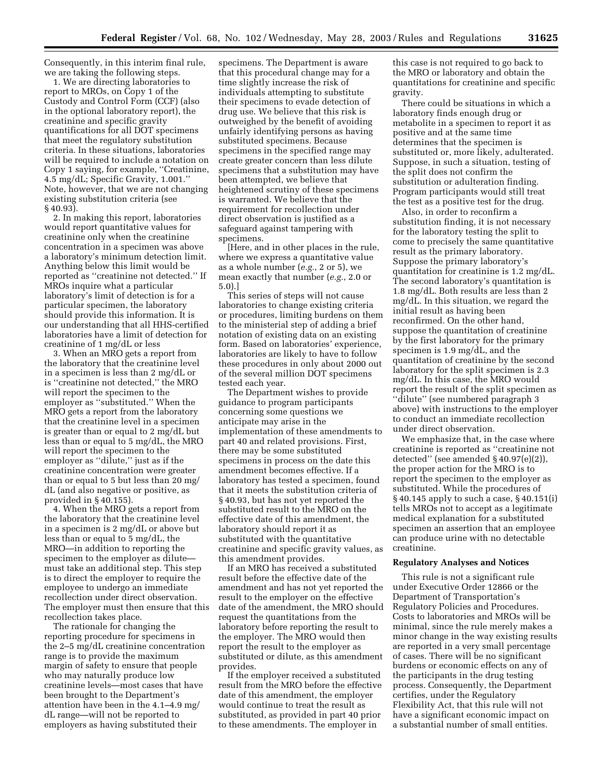Consequently, in this interim final rule, we are taking the following steps.

1. We are directing laboratories to report to MROs, on Copy 1 of the Custody and Control Form (CCF) (also in the optional laboratory report), the creatinine and specific gravity quantifications for all DOT specimens that meet the regulatory substitution criteria. In these situations, laboratories will be required to include a notation on Copy 1 saying, for example, ''Creatinine, 4.5 mg/dL; Specific Gravity, 1.001.'' Note, however, that we are not changing existing substitution criteria (see § 40.93).

2. In making this report, laboratories would report quantitative values for creatinine only when the creatinine concentration in a specimen was above a laboratory's minimum detection limit. Anything below this limit would be reported as ''creatinine not detected.'' If MROs inquire what a particular laboratory's limit of detection is for a particular specimen, the laboratory should provide this information. It is our understanding that all HHS-certified laboratories have a limit of detection for creatinine of 1 mg/dL or less

3. When an MRO gets a report from the laboratory that the creatinine level in a specimen is less than 2 mg/dL or is ''creatinine not detected,'' the MRO will report the specimen to the employer as ''substituted.'' When the MRO gets a report from the laboratory that the creatinine level in a specimen is greater than or equal to 2 mg/dL but less than or equal to 5 mg/dL, the MRO will report the specimen to the employer as ''dilute,'' just as if the creatinine concentration were greater than or equal to 5 but less than 20 mg/ dL (and also negative or positive, as provided in § 40.155).

4. When the MRO gets a report from the laboratory that the creatinine level in a specimen is 2 mg/dL or above but less than or equal to 5 mg/dL, the MRO—in addition to reporting the specimen to the employer as dilute must take an additional step. This step is to direct the employer to require the employee to undergo an immediate recollection under direct observation. The employer must then ensure that this recollection takes place.

The rationale for changing the reporting procedure for specimens in the 2–5 mg/dL creatinine concentration range is to provide the maximum margin of safety to ensure that people who may naturally produce low creatinine levels—most cases that have been brought to the Department's attention have been in the 4.1–4.9 mg/ dL range—will not be reported to employers as having substituted their

specimens. The Department is aware that this procedural change may for a time slightly increase the risk of individuals attempting to substitute their specimens to evade detection of drug use. We believe that this risk is outweighed by the benefit of avoiding unfairly identifying persons as having substituted specimens. Because specimens in the specified range may create greater concern than less dilute specimens that a substitution may have been attempted, we believe that heightened scrutiny of these specimens is warranted. We believe that the requirement for recollection under direct observation is justified as a safeguard against tampering with specimens.

[Here, and in other places in the rule, where we express a quantitative value as a whole number (*e.g.*, 2 or 5), we mean exactly that number (*e.g.*, 2.0 or 5.0).]

This series of steps will not cause laboratories to change existing criteria or procedures, limiting burdens on them to the ministerial step of adding a brief notation of existing data on an existing form. Based on laboratories' experience, laboratories are likely to have to follow these procedures in only about 2000 out of the several million DOT specimens tested each year.

The Department wishes to provide guidance to program participants concerning some questions we anticipate may arise in the implementation of these amendments to part 40 and related provisions. First, there may be some substituted specimens in process on the date this amendment becomes effective. If a laboratory has tested a specimen, found that it meets the substitution criteria of § 40.93, but has not yet reported the substituted result to the MRO on the effective date of this amendment, the laboratory should report it as substituted with the quantitative creatinine and specific gravity values, as this amendment provides.

If an MRO has received a substituted result before the effective date of the amendment and has not yet reported the result to the employer on the effective date of the amendment, the MRO should request the quantitations from the laboratory before reporting the result to the employer. The MRO would then report the result to the employer as substituted or dilute, as this amendment provides.

If the employer received a substituted result from the MRO before the effective date of this amendment, the employer would continue to treat the result as substituted, as provided in part 40 prior to these amendments. The employer in

this case is not required to go back to the MRO or laboratory and obtain the quantitations for creatinine and specific gravity.

There could be situations in which a laboratory finds enough drug or metabolite in a specimen to report it as positive and at the same time determines that the specimen is substituted or, more likely, adulterated. Suppose, in such a situation, testing of the split does not confirm the substitution or adulteration finding. Program participants would still treat the test as a positive test for the drug.

Also, in order to reconfirm a substitution finding, it is not necessary for the laboratory testing the split to come to precisely the same quantitative result as the primary laboratory. Suppose the primary laboratory's quantitation for creatinine is 1.2 mg/dL. The second laboratory's quantitation is 1.8 mg/dL. Both results are less than 2 mg/dL. In this situation, we regard the initial result as having been reconfirmed. On the other hand, suppose the quantitation of creatinine by the first laboratory for the primary specimen is 1.9 mg/dL, and the quantitation of creatinine by the second laboratory for the split specimen is 2.3 mg/dL. In this case, the MRO would report the result of the split specimen as ''dilute'' (see numbered paragraph 3 above) with instructions to the employer to conduct an immediate recollection under direct observation.

We emphasize that, in the case where creatinine is reported as ''creatinine not detected'' (see amended § 40.97(e)(2)), the proper action for the MRO is to report the specimen to the employer as substituted. While the procedures of § 40.145 apply to such a case, § 40.151(i) tells MROs not to accept as a legitimate medical explanation for a substituted specimen an assertion that an employee can produce urine with no detectable creatinine.

### **Regulatory Analyses and Notices**

This rule is not a significant rule under Executive Order 12866 or the Department of Transportation's Regulatory Policies and Procedures. Costs to laboratories and MROs will be minimal, since the rule merely makes a minor change in the way existing results are reported in a very small percentage of cases. There will be no significant burdens or economic effects on any of the participants in the drug testing process. Consequently, the Department certifies, under the Regulatory Flexibility Act, that this rule will not have a significant economic impact on a substantial number of small entities.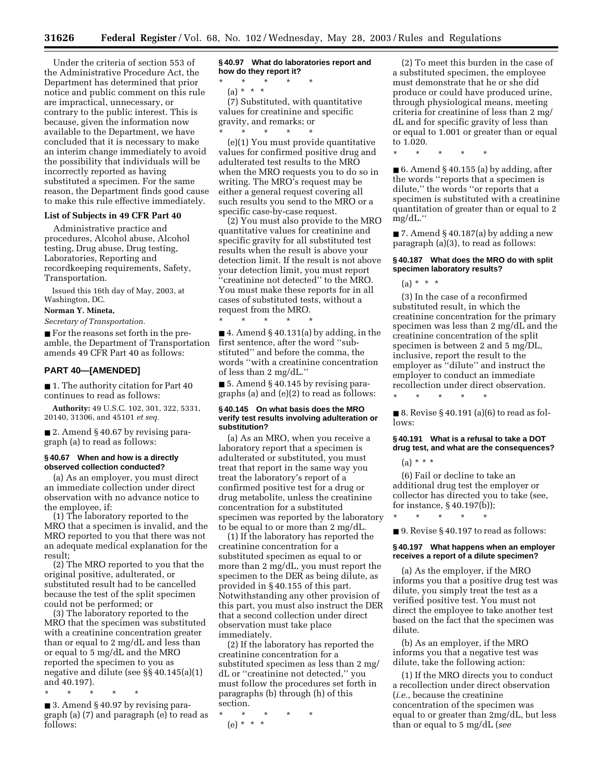Under the criteria of section 553 of the Administrative Procedure Act, the Department has determined that prior notice and public comment on this rule are impractical, unnecessary, or contrary to the public interest. This is because, given the information now available to the Department, we have concluded that it is necessary to make an interim change immediately to avoid the possibility that individuals will be incorrectly reported as having substituted a specimen. For the same reason, the Department finds good cause to make this rule effective immediately.

## **List of Subjects in 49 CFR Part 40**

Administrative practice and procedures, Alcohol abuse, Alcohol testing, Drug abuse, Drug testing, Laboratories, Reporting and recordkeeping requirements, Safety, Transportation.

Issued this 16th day of May, 2003, at Washington, DC.

#### **Norman Y. Mineta,**

*Secretary of Transportation.*

■ For the reasons set forth in the preamble, the Department of Transportation amends 49 CFR Part 40 as follows:

## **PART 40—[AMENDED]**

■ 1. The authority citation for Part 40 continues to read as follows:

**Authority:** 49 U.S.C. 102, 301, 322, 5331, 20140, 31306, and 45101 *et seq.*

■ 2. Amend § 40.67 by revising paragraph (a) to read as follows:

### **§ 40.67 When and how is a directly observed collection conducted?**

(a) As an employer, you must direct an immediate collection under direct observation with no advance notice to the employee, if:

(1) The laboratory reported to the MRO that a specimen is invalid, and the MRO reported to you that there was not an adequate medical explanation for the result;

(2) The MRO reported to you that the original positive, adulterated, or substituted result had to be cancelled because the test of the split specimen could not be performed; or

(3) The laboratory reported to the MRO that the specimen was substituted with a creatinine concentration greater than or equal to 2 mg/dL and less than or equal to 5 mg/dL and the MRO reported the specimen to you as negative and dilute (see §§ 40.145(a)(1) and 40.197).

\* \* \* \* \*

■ 3. Amend § 40.97 by revising paragraph (a) (7) and paragraph (e) to read as follows:

**§ 40.97 What do laboratories report and how do they report it?**

\* \* \* \* \* (a) \* \* \*

(7) Substituted, with quantitative values for creatinine and specific gravity, and remarks; or \* \* \* \* \*

(e)(1) You must provide quantitative values for confirmed positive drug and adulterated test results to the MRO when the MRO requests you to do so in writing. The MRO's request may be either a general request covering all such results you send to the MRO or a specific case-by-case request.

(2) You must also provide to the MRO quantitative values for creatinine and specific gravity for all substituted test results when the result is above your detection limit. If the result is not above your detection limit, you must report ''creatinine not detected'' to the MRO. You must make these reports for in all cases of substituted tests, without a request from the MRO.

\* \* \* \* \*  $\blacksquare$  4. Amend § 40.131(a) by adding, in the first sentence, after the word ''substituted'' and before the comma, the words ''with a creatinine concentration of less than 2 mg/dL.''

■ 5. Amend § 40.145 by revising paragraphs (a) and (e)(2) to read as follows:

### **§ 40.145 On what basis does the MRO verify test results involving adulteration or substitution?**

(a) As an MRO, when you receive a laboratory report that a specimen is adulterated or substituted, you must treat that report in the same way you treat the laboratory's report of a confirmed positive test for a drug or drug metabolite, unless the creatinine concentration for a substituted specimen was reported by the laboratory to be equal to or more than 2 mg/dL.

(1) If the laboratory has reported the creatinine concentration for a substituted specimen as equal to or more than 2 mg/dL, you must report the specimen to the DER as being dilute, as provided in § 40.155 of this part. Notwithstanding any other provision of this part, you must also instruct the DER that a second collection under direct observation must take place immediately.

(2) If the laboratory has reported the creatinine concentration for a substituted specimen as less than 2 mg/ dL or ''creatinine not detected,'' you must follow the procedures set forth in paragraphs (b) through (h) of this section.

\* \* \* \* \* (e) \* \* \*

(2) To meet this burden in the case of a substituted specimen, the employee must demonstrate that he or she did produce or could have produced urine, through physiological means, meeting criteria for creatinine of less than 2 mg/ dL and for specific gravity of less than or equal to 1.001 or greater than or equal to 1.020.

\* \* \* \* \*

 $\blacksquare$  6. Amend § 40.155 (a) by adding, after the words ''reports that a specimen is dilute,'' the words ''or reports that a specimen is substituted with a creatinine quantitation of greater than or equal to 2 mg/dL.''

 $\blacksquare$  7. Amend § 40.187(a) by adding a new paragraph (a)(3), to read as follows:

## **§ 40.187 What does the MRO do with split specimen laboratory results?**

 $(a) * * * *$ 

(3) In the case of a reconfirmed substituted result, in which the creatinine concentration for the primary specimen was less than 2 mg/dL and the creatinine concentration of the split specimen is between 2 and 5 mg/DL, inclusive, report the result to the employer as ''dilute'' and instruct the employer to conduct an immediate recollection under direct observation.

\* \* \* \* \*  $\blacksquare$  8. Revise § 40.191 (a)(6) to read as fol-

# **§ 40.191 What is a refusal to take a DOT**

# **drug test, and what are the consequences?**

 $(a) * * * *$ 

lows:

(6) Fail or decline to take an additional drug test the employer or collector has directed you to take (see, for instance, § 40.197(b));

\* \* \* \* \*

■ 9. Revise § 40.197 to read as follows:

## **§ 40.197 What happens when an employer receives a report of a dilute specimen?**

(a) As the employer, if the MRO informs you that a positive drug test was dilute, you simply treat the test as a verified positive test. You must not direct the employee to take another test based on the fact that the specimen was dilute.

(b) As an employer, if the MRO informs you that a negative test was dilute, take the following action:

(1) If the MRO directs you to conduct a recollection under direct observation (*i.e.*, because the creatinine concentration of the specimen was equal to or greater than 2mg/dL, but less than or equal to 5 mg/dL (*see*